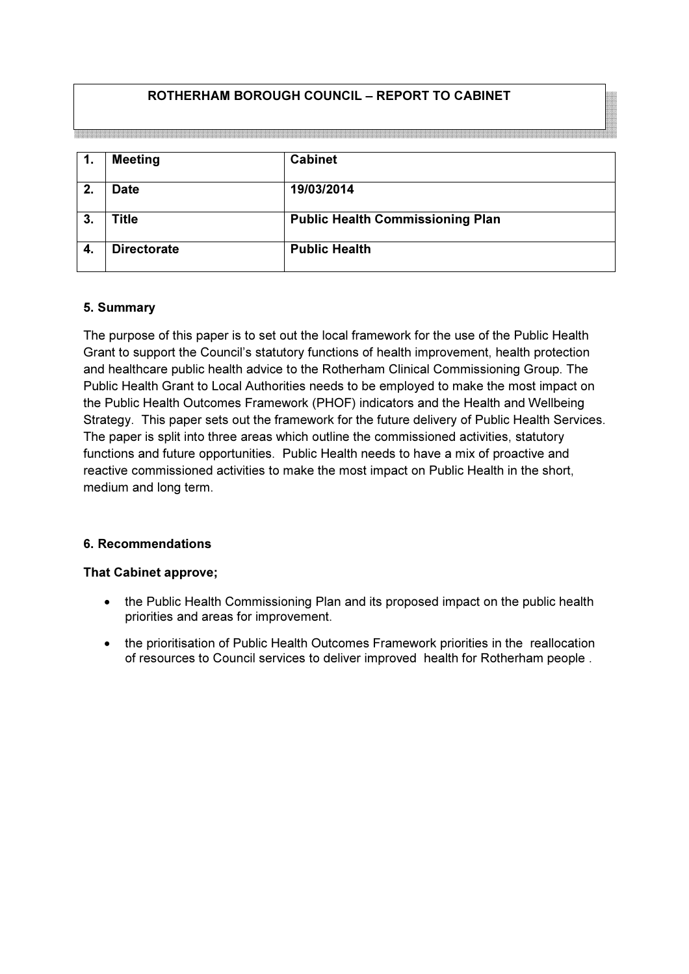## ROTHERHAM BOROUGH COUNCIL – REPORT TO CABINET

1. Meeting **Cabinet** 2. Date 19/03/2014 3. Title Public Health Commissioning Plan 4. Directorate Public Health

### 5. Summary

The purpose of this paper is to set out the local framework for the use of the Public Health Grant to support the Council's statutory functions of health improvement, health protection and healthcare public health advice to the Rotherham Clinical Commissioning Group. The Public Health Grant to Local Authorities needs to be employed to make the most impact on the Public Health Outcomes Framework (PHOF) indicators and the Health and Wellbeing Strategy. This paper sets out the framework for the future delivery of Public Health Services. The paper is split into three areas which outline the commissioned activities, statutory functions and future opportunities. Public Health needs to have a mix of proactive and reactive commissioned activities to make the most impact on Public Health in the short, medium and long term.

### 6. Recommendations

### That Cabinet approve;

- the Public Health Commissioning Plan and its proposed impact on the public health priorities and areas for improvement.
- the prioritisation of Public Health Outcomes Framework priorities in the reallocation of resources to Council services to deliver improved health for Rotherham people .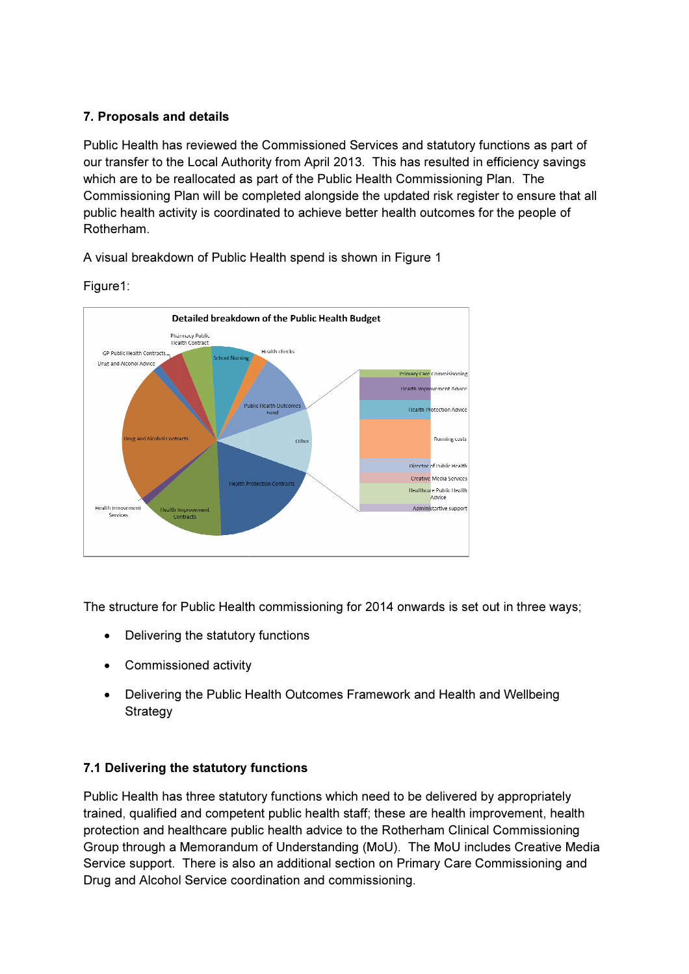## 7. Proposals and details

Public Health has reviewed the Commissioned Services and statutory functions our transfer to the Local Authority from April 2013. This has resulted in efficiency savings which are to be reallocated as part of the Public Health Commissioning Plan. The Commissioning Plan will be completed alongside the updated risk register to ensure that all Commissioning Plan will be completed alongside the updated risk register to ensure tha<br>public health activity is coordinated to achieve better health outcomes for the people of Rotherham.

A visual breakdown of Public Health spend is shown in Figure 1





The structure for Public Health commissioning for 2014 onwards is set out in three ways;

- Delivering the statutory functions e
- Commissioned activity
- Delivering the Public Health Outcomes Framework and Health and W **Strategy**

## 7.1 Delivering the statutory functions

Public Health has three statutory functions which need to be delivered by appropriately trained, qualified and competent public health staff; these are health improvement, health protection and healthcare public health advice to the Rotherham Clinical Commissioning Group through a Memorandum of Understanding (MoU). The MoU includes Creative Media Service support. There is also an additional section on Primary Care Commissioning and Drug and Alcohol Service coordination and commissioning.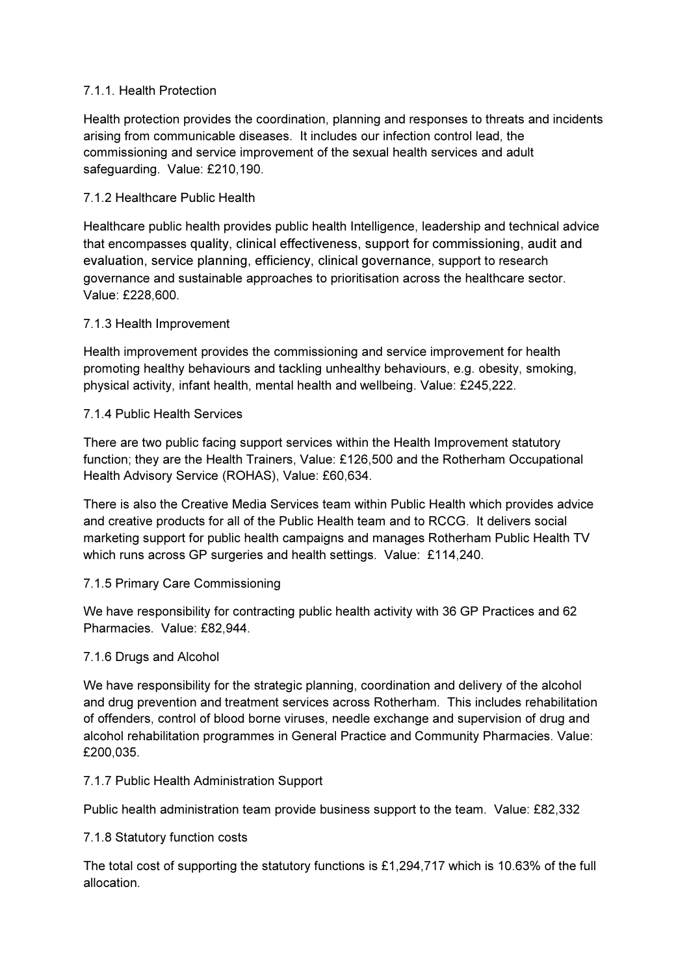## 7.1.1. Health Protection

Health protection provides the coordination, planning and responses to threats and incidents arising from communicable diseases. It includes our infection control lead, the commissioning and service improvement of the sexual health services and adult safeguarding. Value: £210,190.

## 7.1.2 Healthcare Public Health

Healthcare public health provides public health Intelligence, leadership and technical advice that encompasses quality, clinical effectiveness, support for commissioning, audit and evaluation, service planning, efficiency, clinical governance, support to research governance and sustainable approaches to prioritisation across the healthcare sector. Value: £228,600.

## 7.1.3 Health Improvement

Health improvement provides the commissioning and service improvement for health promoting healthy behaviours and tackling unhealthy behaviours, e.g. obesity, smoking, physical activity, infant health, mental health and wellbeing. Value: £245,222.

## 7.1.4 Public Health Services

There are two public facing support services within the Health Improvement statutory function; they are the Health Trainers, Value: £126,500 and the Rotherham Occupational Health Advisory Service (ROHAS), Value: £60,634.

There is also the Creative Media Services team within Public Health which provides advice and creative products for all of the Public Health team and to RCCG. It delivers social marketing support for public health campaigns and manages Rotherham Public Health TV which runs across GP surgeries and health settings. Value: £114,240.

## 7.1.5 Primary Care Commissioning

We have responsibility for contracting public health activity with 36 GP Practices and 62 Pharmacies. Value: £82,944.

### 7.1.6 Drugs and Alcohol

We have responsibility for the strategic planning, coordination and delivery of the alcohol and drug prevention and treatment services across Rotherham. This includes rehabilitation of offenders, control of blood borne viruses, needle exchange and supervision of drug and alcohol rehabilitation programmes in General Practice and Community Pharmacies. Value: £200,035.

### 7.1.7 Public Health Administration Support

Public health administration team provide business support to the team. Value: £82,332

## 7.1.8 Statutory function costs

The total cost of supporting the statutory functions is £1,294,717 which is 10.63% of the full allocation.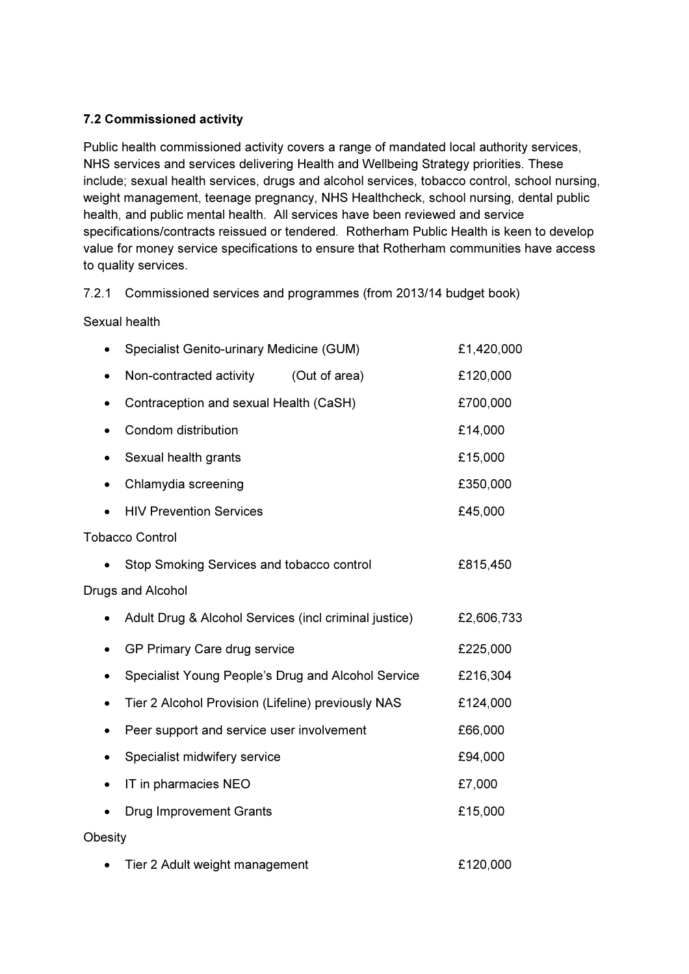## 7.2 Commissioned activity

Public health commissioned activity covers a range of mandated local authority services, NHS services and services delivering Health and Wellbeing Strategy priorities. These include; sexual health services, drugs and alcohol services, tobacco control, school nursing, weight management, teenage pregnancy, NHS Healthcheck, school nursing, dental public health, and public mental health. All services have been reviewed and service specifications/contracts reissued or tendered. Rotherham Public Health is keen to develop value for money service specifications to ensure that Rotherham communities have access to quality services.

7.2.1 Commissioned services and programmes (from 2013/14 budget book)

Sexual health

| $\bullet$ | Specialist Genito-urinary Medicine (GUM)              | £1,420,000    |            |
|-----------|-------------------------------------------------------|---------------|------------|
| $\bullet$ | Non-contracted activity                               | (Out of area) | £120,000   |
|           | Contraception and sexual Health (CaSH)                |               | £700,000   |
|           | Condom distribution                                   |               | £14,000    |
| $\bullet$ | Sexual health grants                                  |               | £15,000    |
| $\bullet$ | Chlamydia screening                                   |               | £350,000   |
| $\bullet$ | <b>HIV Prevention Services</b>                        |               | £45,000    |
|           | <b>Tobacco Control</b>                                |               |            |
| $\bullet$ | Stop Smoking Services and tobacco control             |               | £815,450   |
|           | Drugs and Alcohol                                     |               |            |
|           |                                                       |               |            |
|           | Adult Drug & Alcohol Services (incl criminal justice) |               | £2,606,733 |
| $\bullet$ | GP Primary Care drug service                          |               | £225,000   |
| ٠         | Specialist Young People's Drug and Alcohol Service    |               | £216,304   |
|           | Tier 2 Alcohol Provision (Lifeline) previously NAS    |               | £124,000   |
|           | Peer support and service user involvement             |               | £66,000    |
| $\bullet$ | Specialist midwifery service                          |               | £94,000    |
| $\bullet$ | IT in pharmacies NEO                                  |               | £7,000     |
|           | <b>Drug Improvement Grants</b>                        |               | £15,000    |
| Obesity   |                                                       |               |            |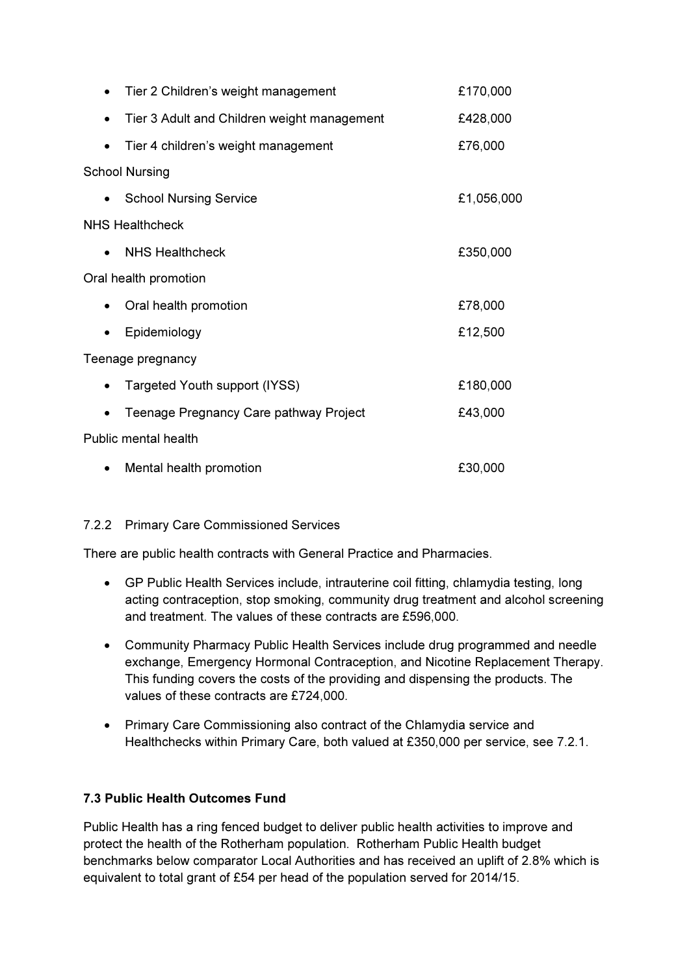|           | Tier 2 Children's weight management         | £170,000   |
|-----------|---------------------------------------------|------------|
|           | Tier 3 Adult and Children weight management | £428,000   |
|           | Tier 4 children's weight management         | £76,000    |
|           | <b>School Nursing</b>                       |            |
|           | <b>School Nursing Service</b>               | £1,056,000 |
|           | <b>NHS Healthcheck</b>                      |            |
|           | <b>NHS Healthcheck</b>                      | £350,000   |
|           | Oral health promotion                       |            |
| $\bullet$ | Oral health promotion                       | £78,000    |
|           | Epidemiology                                | £12,500    |
|           | Teenage pregnancy                           |            |
| $\bullet$ | Targeted Youth support (IYSS)               | £180,000   |
|           | Teenage Pregnancy Care pathway Project      | £43,000    |
|           | <b>Public mental health</b>                 |            |
|           | Mental health promotion                     | £30,000    |

## 7.2.2 Primary Care Commissioned Services

There are public health contracts with General Practice and Pharmacies.

- GP Public Health Services include, intrauterine coil fitting, chlamydia testing, long acting contraception, stop smoking, community drug treatment and alcohol screening and treatment. The values of these contracts are £596,000.
- Community Pharmacy Public Health Services include drug programmed and needle exchange, Emergency Hormonal Contraception, and Nicotine Replacement Therapy. This funding covers the costs of the providing and dispensing the products. The values of these contracts are £724,000.
- Primary Care Commissioning also contract of the Chlamydia service and Healthchecks within Primary Care, both valued at £350,000 per service, see 7.2.1.

### 7.3 Public Health Outcomes Fund

Public Health has a ring fenced budget to deliver public health activities to improve and protect the health of the Rotherham population. Rotherham Public Health budget benchmarks below comparator Local Authorities and has received an uplift of 2.8% which is equivalent to total grant of £54 per head of the population served for 2014/15.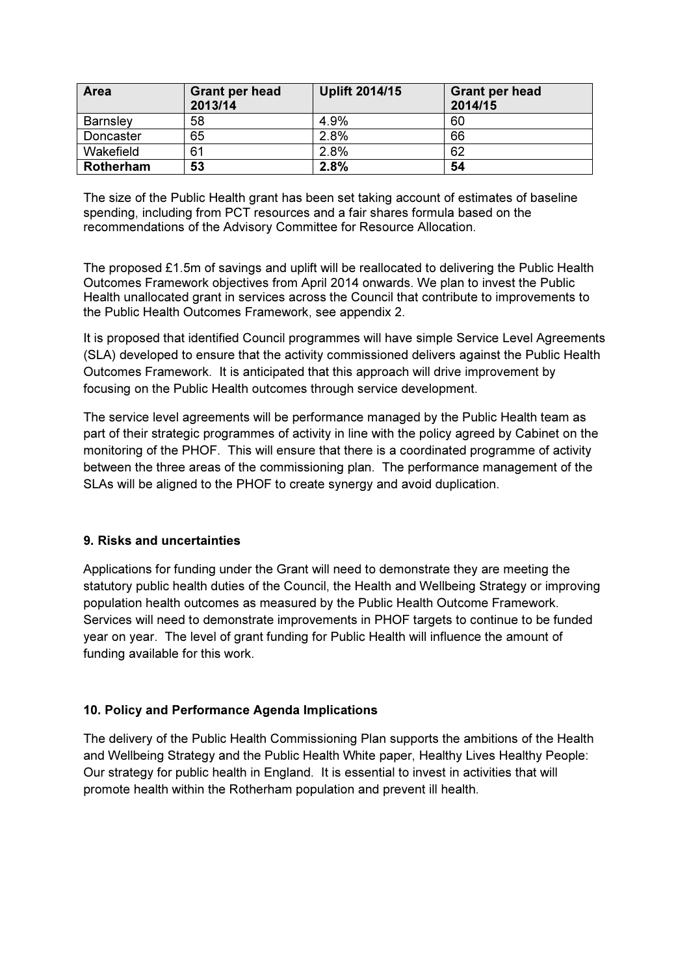| Area            | <b>Grant per head</b><br>2013/14 | <b>Uplift 2014/15</b> | <b>Grant per head</b><br>2014/15 |
|-----------------|----------------------------------|-----------------------|----------------------------------|
| <b>Barnsley</b> | 58                               | 4.9%                  | 60                               |
| Doncaster       | 65                               | 2.8%                  | 66                               |
| Wakefield       | 61                               | 2.8%                  | 62                               |
| Rotherham       | 53                               | 2.8%                  | 54                               |

The size of the Public Health grant has been set taking account of estimates of baseline spending, including from PCT resources and a fair shares formula based on the recommendations of the Advisory Committee for Resource Allocation.

The proposed £1.5m of savings and uplift will be reallocated to delivering the Public Health Outcomes Framework objectives from April 2014 onwards. We plan to invest the Public Health unallocated grant in services across the Council that contribute to improvements to the Public Health Outcomes Framework, see appendix 2.

It is proposed that identified Council programmes will have simple Service Level Agreements (SLA) developed to ensure that the activity commissioned delivers against the Public Health Outcomes Framework. It is anticipated that this approach will drive improvement by focusing on the Public Health outcomes through service development.

The service level agreements will be performance managed by the Public Health team as part of their strategic programmes of activity in line with the policy agreed by Cabinet on the monitoring of the PHOF. This will ensure that there is a coordinated programme of activity between the three areas of the commissioning plan. The performance management of the SLAs will be aligned to the PHOF to create synergy and avoid duplication.

## 9. Risks and uncertainties

Applications for funding under the Grant will need to demonstrate they are meeting the statutory public health duties of the Council, the Health and Wellbeing Strategy or improving population health outcomes as measured by the Public Health Outcome Framework. Services will need to demonstrate improvements in PHOF targets to continue to be funded year on year. The level of grant funding for Public Health will influence the amount of funding available for this work.

## 10. Policy and Performance Agenda Implications

The delivery of the Public Health Commissioning Plan supports the ambitions of the Health and Wellbeing Strategy and the Public Health White paper, Healthy Lives Healthy People: Our strategy for public health in England. It is essential to invest in activities that will promote health within the Rotherham population and prevent ill health.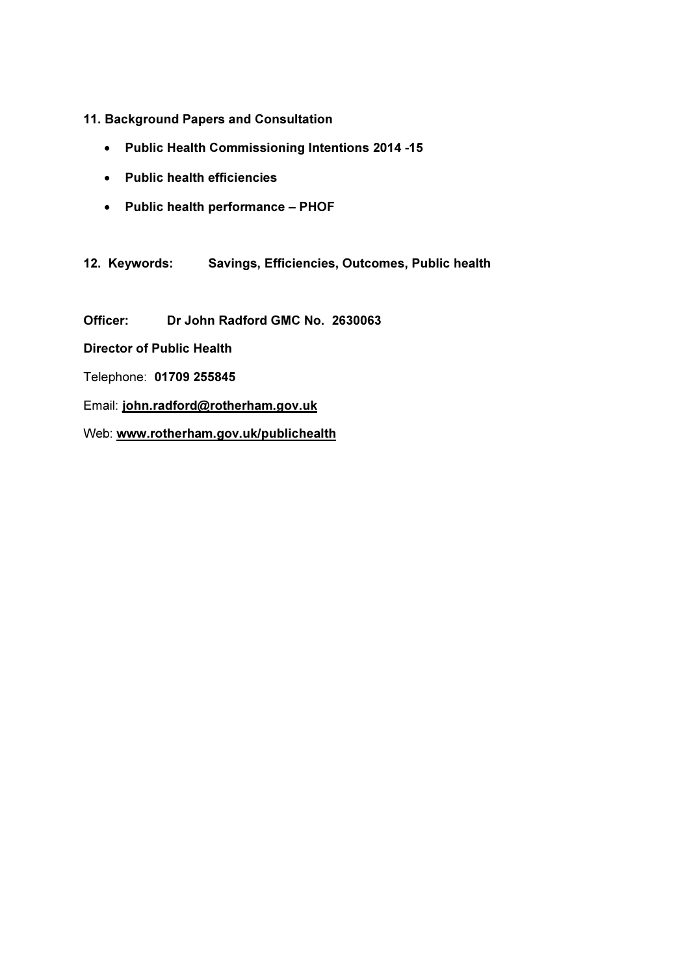## 11. Background Papers and Consultation

- Public Health Commissioning Intentions 2014 -15
- Public health efficiencies
- Public health performance PHOF

12. Keywords: Savings, Efficiencies, Outcomes, Public health

Officer: Dr John Radford GMC No. 2630063

Director of Public Health

Telephone: 01709 255845

Email: john.radford@rotherham.gov.uk

Web: www.rotherham.gov.uk/publichealth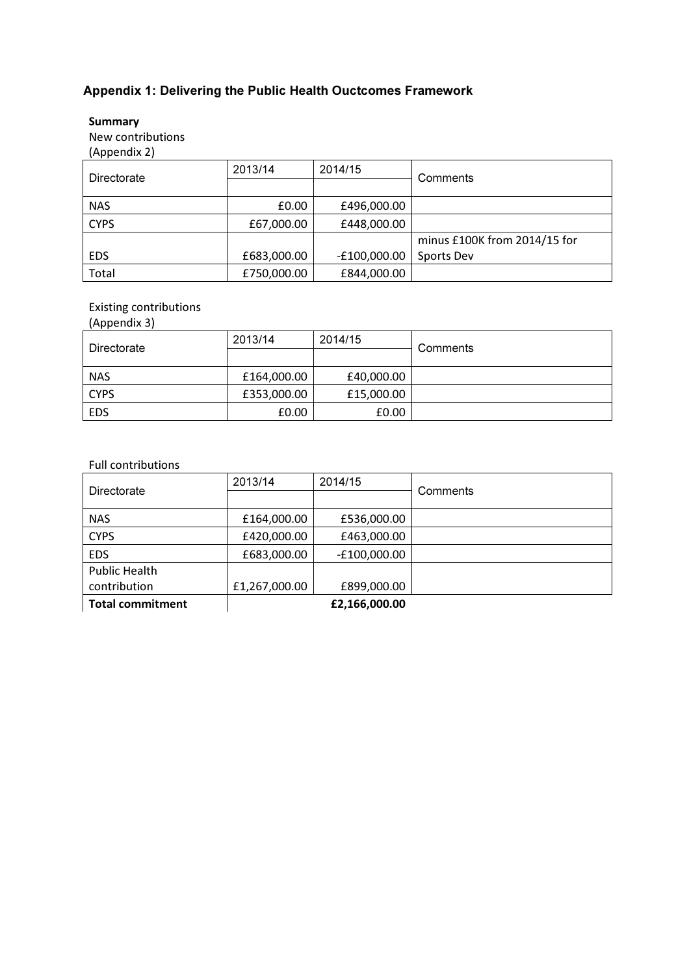# Appendix 1: Delivering the Public Health Ouctcomes Framework

#### **Summary**

New contributions

# (Appendix 2)

|             | 2013/14     | 2014/15        |                              |  |  |
|-------------|-------------|----------------|------------------------------|--|--|
| Directorate |             |                | Comments                     |  |  |
| <b>NAS</b>  | £0.00       | £496,000.00    |                              |  |  |
| <b>CYPS</b> | £67,000.00  | £448,000.00    |                              |  |  |
|             |             |                | minus £100K from 2014/15 for |  |  |
| <b>EDS</b>  | £683,000.00 | $-£100,000.00$ | Sports Dev                   |  |  |
| Total       | £750,000.00 | £844,000.00    |                              |  |  |

## Existing contributions

(Appendix 3)

| Directorate | 2013/14     | 2014/15    | Comments |  |
|-------------|-------------|------------|----------|--|
|             |             |            |          |  |
| <b>NAS</b>  | £164,000.00 | £40,000.00 |          |  |
| <b>CYPS</b> | £353,000.00 | £15,000.00 |          |  |
| <b>EDS</b>  | £0.00       | £0.00      |          |  |

#### Full contributions

| Directorate             | 2013/14       | 2014/15        | Comments |
|-------------------------|---------------|----------------|----------|
|                         |               |                |          |
| <b>NAS</b>              | £164,000.00   | £536,000.00    |          |
| <b>CYPS</b>             | £420,000.00   | £463,000.00    |          |
| <b>EDS</b>              | £683,000.00   | $-£100,000.00$ |          |
| <b>Public Health</b>    |               |                |          |
| contribution            | £1,267,000.00 | £899,000.00    |          |
| <b>Total commitment</b> |               | £2,166,000.00  |          |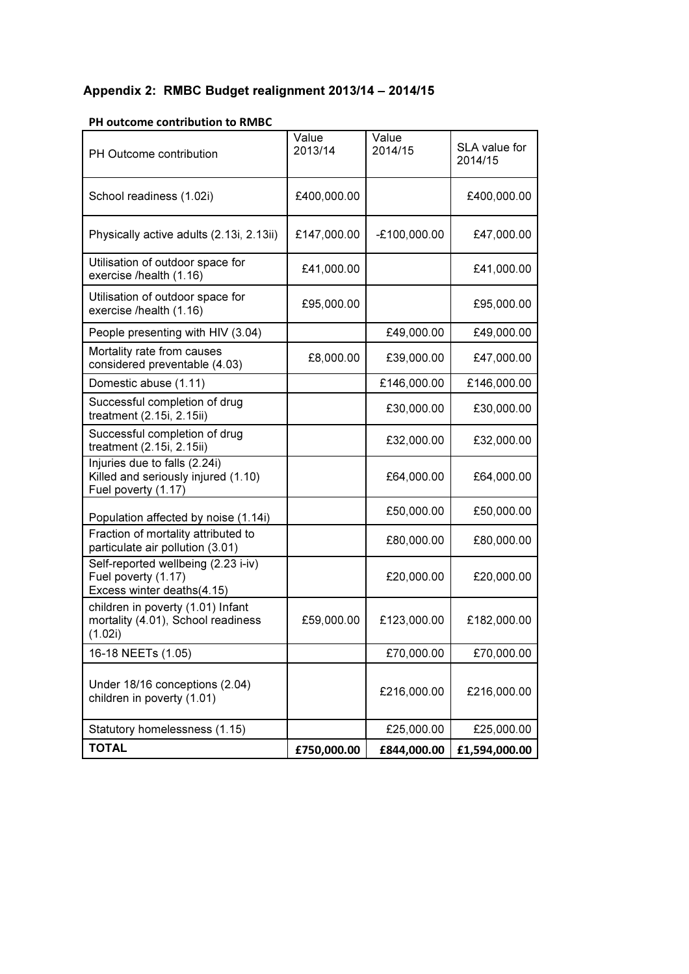# Appendix 2: RMBC Budget realignment 2013/14 – 2014/15

| PH Outcome contribution                                                                     | Value<br>2013/14 | Value<br>2014/15 | SLA value for<br>2014/15 |
|---------------------------------------------------------------------------------------------|------------------|------------------|--------------------------|
| School readiness (1.02i)                                                                    | £400,000.00      |                  | £400,000.00              |
| Physically active adults (2.13i, 2.13ii)                                                    | £147,000.00      | $-E100,000.00$   | £47,000.00               |
| Utilisation of outdoor space for<br>exercise /health (1.16)                                 | £41,000.00       |                  | £41,000.00               |
| Utilisation of outdoor space for<br>exercise /health (1.16)                                 | £95,000.00       |                  | £95,000.00               |
| People presenting with HIV (3.04)                                                           |                  | £49,000.00       | £49,000.00               |
| Mortality rate from causes<br>considered preventable (4.03)                                 | £8,000.00        | £39,000.00       | £47,000.00               |
| Domestic abuse (1.11)                                                                       |                  | £146,000.00      | £146,000.00              |
| Successful completion of drug<br>treatment (2.15i, 2.15ii)                                  |                  | £30,000.00       | £30,000.00               |
| Successful completion of drug<br>treatment (2.15i, 2.15ii)                                  |                  | £32,000.00       | £32,000.00               |
| Injuries due to falls (2.24i)<br>Killed and seriously injured (1.10)<br>Fuel poverty (1.17) |                  | £64,000.00       | £64,000.00               |
| Population affected by noise (1.14i)                                                        |                  | £50,000.00       | £50,000.00               |
| Fraction of mortality attributed to<br>particulate air pollution (3.01)                     |                  | £80,000.00       | £80,000.00               |
| Self-reported wellbeing (2.23 i-iv)<br>Fuel poverty (1.17)<br>Excess winter deaths(4.15)    |                  | £20,000.00       | £20,000.00               |
| children in poverty (1.01) Infant<br>mortality (4.01), School readiness<br>(1.02i)          | £59,000.00       | £123,000.00      | £182,000.00              |
| 16-18 NEETs (1.05)                                                                          |                  | £70,000.00       | £70,000.00               |
| Under 18/16 conceptions (2.04)<br>children in poverty (1.01)                                |                  | £216,000.00      | £216,000.00              |
| Statutory homelessness (1.15)                                                               |                  | £25,000.00       | £25,000.00               |
| <b>TOTAL</b>                                                                                | £750,000.00      | £844,000.00      | £1,594,000.00            |

#### PH outcome contribution to RMBC